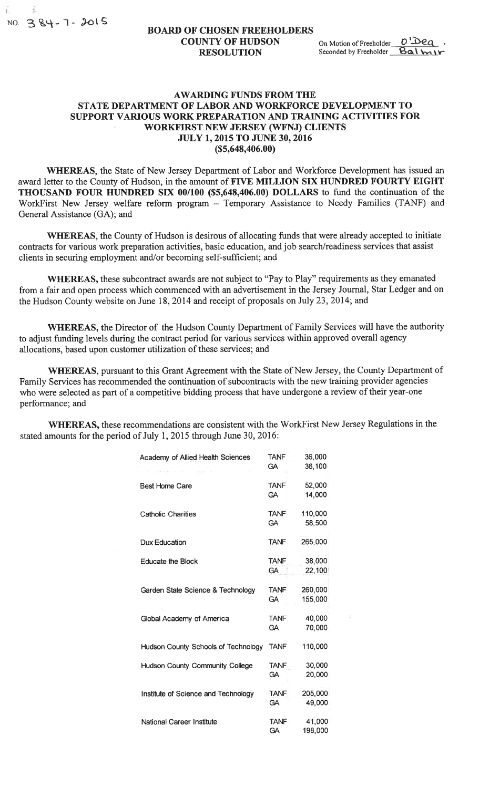Ä

## BOARD OF CHOSEN FREEHOLDERS OF CHOSEN FREEHOLDERS<br>COUNTY OF HUDSON On Motion of Freeholder  $\frac{0}{2}$ <br>RESOLUTION Seconded by Freeholder Balm **COUNTY OF HUDSON** On Motion of Freeholder  $\frac{0}{2}$ <br>RESOLUTION Seconded by Freeholder Balmy

## AWARDING FUNDS FROM THE STATE DEPARTMENT OF LABOR AND WORKFORCE DEVELOPMENT TO SUPPORT VARIOUS WORK PREPARATION AND TRAINING ACTIVITIES FOR WORKFIRST NEW JERSEY (WFNJ) CLIENTS JULY 1, 2015 TO JUNE 30, 2016 (\$5,648,406.00)

WHEREAS, the State of New Jersey Department of Labor and Workforce Development has issued an award letter to the County of Hudson, in the amount of FIVE MILLION SIX HUNDRED FOURTY EIGHT THOUSAND FOUR HUNDRED SIX 00/100 (\$5,648,406.00) DOLLARS to fund the continuation of the WorkFirst New Jersey welfare reform program — Temporary Assistance to Needy Families (TANF) and General Assistance (GA); and

WHEREAS, the County of Hudson is desirous of allocating funds that were already accepted to initiate contracts for various work preparation activities, basic education, and job search/readiness services that assist clients in securing employment and/or becoming self-sufficient; and

WHEREAS, these subcontract awards are not subject to "Pay to Play" requirements as they emanated from a fair and open process which commenced with an advertisement in the Jersey Journal, Star Ledger and on the Hudson County website on June 18, 2014 and receipt of proposals on July 23, 2014; and

WHEREAS, the Director of the Hudson County Department of Family Services will have the authority to adjust funding levels during the contract period for various services within approved overall agency allocations, based upon customer utilization of these services; and

WHEREAS, pursuant to this Grant Agreement with the State of New Jersey, the County Department of Family Services has recommended the continuation of subcontracts with the new training provider agencies who were selected as part of a competitive bidding process that have undergone a review of their year-one performance; and

WHEREAS, these recommendations are consistent with the WorkFirst New Jersey Regulations in the stated amounts for the period of July 1, 2015 through June 30, 2016:

| Academy of Allied Health Sciences   | <b>TANF</b><br><b>GA</b>               | 36,000<br>36,100   |  |
|-------------------------------------|----------------------------------------|--------------------|--|
| <b>Best Home Care</b>               | <b>TANF</b><br><b>GA</b>               | 52,000<br>14,000   |  |
| <b>Catholic Charities</b>           | <b>TANF</b><br>110,000<br>58,500<br>GA |                    |  |
| Dux Education                       | <b>TANF</b>                            | 265,000            |  |
| <b>Educate the Block</b>            | <b>TANF</b><br><b>GA</b>               | 38,000<br>22,100   |  |
| Garden State Science & Technology   | <b>TANF</b><br><b>GA</b>               | 260,000<br>155,000 |  |
| Global Academy of America           | <b>TANF</b><br>GA                      | 40,000<br>70,000   |  |
| Hudson County Schools of Technology | <b>TANF</b>                            | 110,000            |  |
| Hudson County Community College     | <b>TANF</b><br>GA                      | 30,000<br>20,000   |  |
| Institute of Science and Technology | <b>TANF</b><br><b>GA</b>               | 205,000<br>49,000  |  |
| <b>National Career Institute</b>    | <b>TANF</b><br>GΑ                      | 41,000<br>198,000  |  |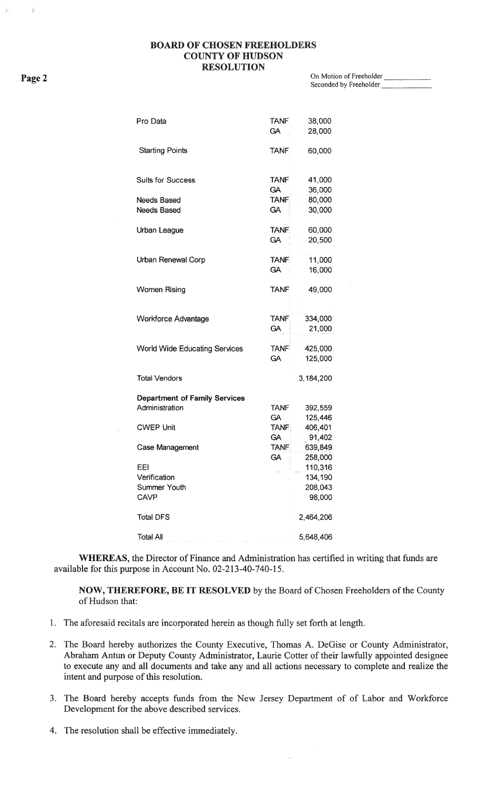## BOARD OF CHOSEN FREEHOLDERS COUNTY OF HUDSON **RESOLUTION**

Page 2 On Motion of Freeholder \_ Seconded by Freeholder

| Pro Data                             | <b>TANF</b>  | 38,000     |
|--------------------------------------|--------------|------------|
|                                      | <b>GA</b>    | 28,000     |
| <b>Starting Points</b>               | <b>TANF</b>  | 60,000     |
|                                      |              |            |
| <b>Suits for Success</b>             | <b>TANF</b>  | 41,000     |
|                                      | <b>GA</b>    | 36,000     |
| <b>Needs Based</b>                   | <b>TANF</b>  | 80,000     |
| <b>Needs Based</b>                   | <b>GA</b>    | 30,000     |
| Urban League                         | TANF.        | 60,000     |
|                                      | GA.          | 20,500     |
| Urban Renewal Corp                   | <b>TANF</b>  | 11,000     |
|                                      | <b>GA</b>    | 16,000     |
| <b>Women Rising</b>                  | <b>TANF</b>  | 49,000     |
|                                      |              |            |
| <b>Workforce Advantage</b>           | <b>TANF</b>  | 334,000    |
|                                      | <b>GA</b>    | 21,000     |
| <b>World Wide Educating Services</b> | <b>TANF</b>  | $-425,000$ |
|                                      | <b>GA</b>    | 125,000    |
| <b>Total Vendors</b>                 |              | 3,184,200  |
| <b>Department of Family Services</b> |              |            |
| Administration                       | <b>TANF</b>  | 392,559    |
|                                      | <b>GA</b>    | 125,446    |
| <b>CWEP Unit</b>                     | <b>TANF:</b> | 406,401    |
|                                      | <b>GA</b>    | 91,402     |
| <b>Case Management</b>               | <b>TANF</b>  | 639,849    |
|                                      | GA           | 258,000    |
| EEI                                  |              | 110,316    |
| Verification                         |              | 134,190    |
| Summer Youth                         |              | 208,043    |
| <b>CAVP</b>                          |              | 98,000     |
| <b>Total DFS</b>                     |              | 2,464,206  |
| <b>Total All</b>                     |              | 5,648,406  |

WHEREAS, the Director of Finance and Administration has certified in writing that funds are available for this purpose in Account No. 02-213-40-740-15.

NOW, THEREFORE, BE IT RESOLVED by the Board of Chosen Freeholders of the County of Hudson that:

- 1. The aforesaid recitals are incorporated herein as though fully set forth at length.
- 2. The Board hereby authorizes the County Executive, Thomas A. DeGise or County Administrator, Abraham Antun or Deputy County Administrator, Laurie Cotter of their lawfully appointed designee to execute any and all documents and take any and all actions necessary to complete and realize the intent and purpose of this resolution.
- 3. The Board hereby accepts funds from the New Jersey Department of of Labor and Workforce Development for the above described services.
- 4. The resolution shall be effective immediately.

Ř